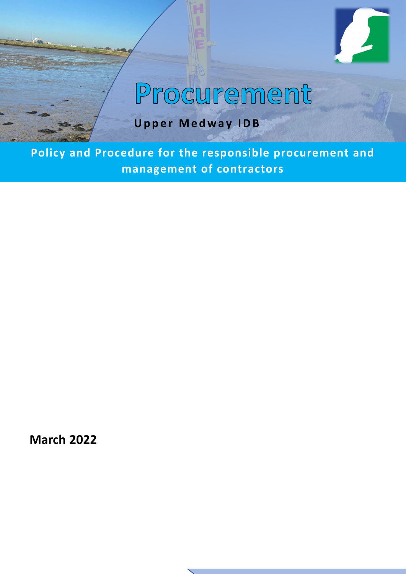

# Procurement

**Upper Medway IDB**

**Policy and Procedure for the responsible procurement and management of contractors**

**March 2022**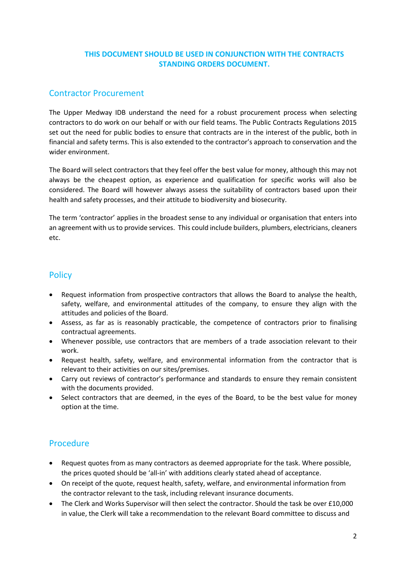#### **THIS DOCUMENT SHOULD BE USED IN CONJUNCTION WITH THE CONTRACTS STANDING ORDERS DOCUMENT.**

## Contractor Procurement

The Upper Medway IDB understand the need for a robust procurement process when selecting contractors to do work on our behalf or with our field teams. The Public Contracts Regulations 2015 set out the need for public bodies to ensure that contracts are in the interest of the public, both in financial and safety terms. This is also extended to the contractor's approach to conservation and the wider environment.

The Board will select contractors that they feel offer the best value for money, although this may not always be the cheapest option, as experience and qualification for specific works will also be considered. The Board will however always assess the suitability of contractors based upon their health and safety processes, and their attitude to biodiversity and biosecurity.

The term 'contractor' applies in the broadest sense to any individual or organisation that enters into an agreement with us to provide services. This could include builders, plumbers, electricians, cleaners etc.

## **Policy**

- Request information from prospective contractors that allows the Board to analyse the health, safety, welfare, and environmental attitudes of the company, to ensure they align with the attitudes and policies of the Board.
- Assess, as far as is reasonably practicable, the competence of contractors prior to finalising contractual agreements.
- Whenever possible, use contractors that are members of a trade association relevant to their work.
- Request health, safety, welfare, and environmental information from the contractor that is relevant to their activities on our sites/premises.
- Carry out reviews of contractor's performance and standards to ensure they remain consistent with the documents provided.
- Select contractors that are deemed, in the eyes of the Board, to be the best value for money option at the time.

# Procedure

- Request quotes from as many contractors as deemed appropriate for the task. Where possible, the prices quoted should be 'all-in' with additions clearly stated ahead of acceptance.
- On receipt of the quote, request health, safety, welfare, and environmental information from the contractor relevant to the task, including relevant insurance documents.
- The Clerk and Works Supervisor will then select the contractor. Should the task be over £10,000 in value, the Clerk will take a recommendation to the relevant Board committee to discuss and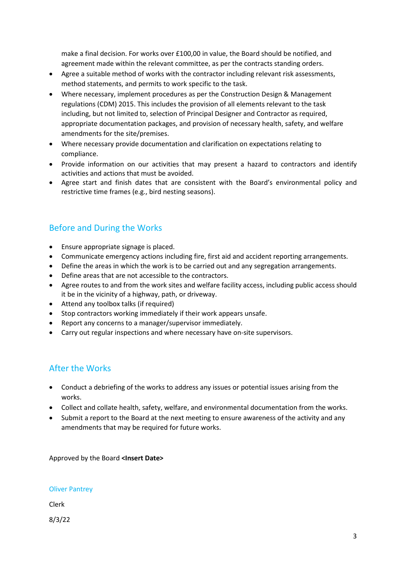make a final decision. For works over £100,00 in value, the Board should be notified, and agreement made within the relevant committee, as per the contracts standing orders.

- Agree a suitable method of works with the contractor including relevant risk assessments, method statements, and permits to work specific to the task.
- Where necessary, implement procedures as per the Construction Design & Management regulations (CDM) 2015. This includes the provision of all elements relevant to the task including, but not limited to, selection of Principal Designer and Contractor as required, appropriate documentation packages, and provision of necessary health, safety, and welfare amendments for the site/premises.
- Where necessary provide documentation and clarification on expectations relating to compliance.
- Provide information on our activities that may present a hazard to contractors and identify activities and actions that must be avoided.
- Agree start and finish dates that are consistent with the Board's environmental policy and restrictive time frames (e.g., bird nesting seasons).

# Before and During the Works

- Ensure appropriate signage is placed.
- Communicate emergency actions including fire, first aid and accident reporting arrangements.
- Define the areas in which the work is to be carried out and any segregation arrangements.
- Define areas that are not accessible to the contractors.
- Agree routes to and from the work sites and welfare facility access, including public access should it be in the vicinity of a highway, path, or driveway.
- Attend any toolbox talks (if required)
- Stop contractors working immediately if their work appears unsafe.
- Report any concerns to a manager/supervisor immediately.
- Carry out regular inspections and where necessary have on-site supervisors.

#### After the Works

- Conduct a debriefing of the works to address any issues or potential issues arising from the works.
- Collect and collate health, safety, welfare, and environmental documentation from the works.
- Submit a report to the Board at the next meeting to ensure awareness of the activity and any amendments that may be required for future works.

Approved by the Board **<Insert Date>**

#### Oliver Pantrey

Clerk

8/3/22